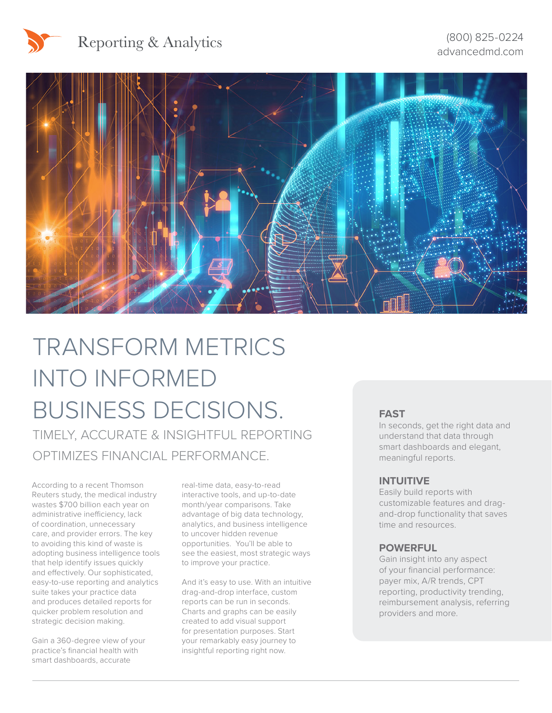



Reporting & Analytics



# TRANSFORM METRICS INTO INFORMED BUSINESS DECISIONS. TIMELY, ACCURATE & INSIGHTFUL REPORTING

OPTIMIZES FINANCIAL PERFORMANCE.

According to a recent Thomson Reuters study, the medical industry wastes \$700 billion each year on administrative inefficiency, lack of coordination, unnecessary care, and provider errors. The key to avoiding this kind of waste is adopting business intelligence tools that help identify issues quickly and effectively. Our sophisticated, easy-to-use reporting and analytics suite takes your practice data and produces detailed reports for quicker problem resolution and strategic decision making.

Gain a 360-degree view of your practice's financial health with smart dashboards, accurate

real-time data, easy-to-read interactive tools, and up-to-date month/year comparisons. Take advantage of big data technology, analytics, and business intelligence to uncover hidden revenue opportunities. You'll be able to see the easiest, most strategic ways to improve your practice.

And it's easy to use. With an intuitive drag-and-drop interface, custom reports can be run in seconds. Charts and graphs can be easily created to add visual support for presentation purposes. Start your remarkably easy journey to insightful reporting right now.

#### **FAST**

In seconds, get the right data and understand that data through smart dashboards and elegant, meaningful reports.

#### **INTUITIVE**

Easily build reports with customizable features and dragand-drop functionality that saves time and resources.

#### **POWERFUL**

Gain insight into any aspect of your financial performance: payer mix, A/R trends, CPT reporting, productivity trending, reimbursement analysis, referring providers and more.